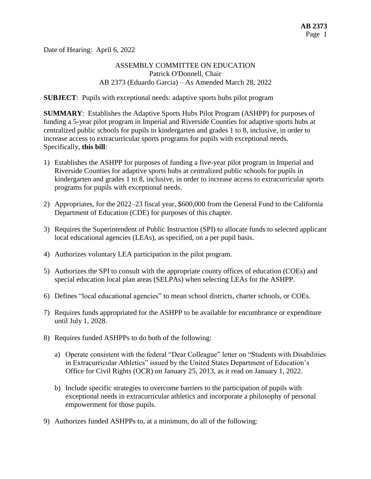Date of Hearing: April 6, 2022

## ASSEMBLY COMMITTEE ON EDUCATION Patrick O'Donnell, Chair AB 2373 (Eduardo Garcia) – As Amended March 28, 2022

**SUBJECT**: Pupils with exceptional needs: adaptive sports hubs pilot program

**SUMMARY**: Establishes the Adaptive Sports Hubs Pilot Program (ASHPP) for purposes of funding a 5-year pilot program in Imperial and Riverside Counties for adaptive sports hubs at centralized public schools for pupils in kindergarten and grades 1 to 8, inclusive, in order to increase access to extracurricular sports programs for pupils with exceptional needs. Specifically, **this bill**:

- 1) Establishes the ASHPP for purposes of funding a five-year pilot program in Imperial and Riverside Counties for adaptive sports hubs at centralized public schools for pupils in kindergarten and grades 1 to 8, inclusive, in order to increase access to extracurricular sports programs for pupils with exceptional needs.
- 2) Appropriates, for the 2022–23 fiscal year, \$600,000 from the General Fund to the California Department of Education (CDE) for purposes of this chapter.
- 3) Requires the Superintendent of Public Instruction (SPI) to allocate funds to selected applicant local educational agencies (LEAs), as specified, on a per pupil basis.
- 4) Authorizes voluntary LEA participation in the pilot program.
- 5) Authorizes the SPI to consult with the appropriate county offices of education (COEs) and special education local plan areas (SELPAs) when selecting LEAs for the ASHPP.
- 6) Defines "local educational agencies" to mean school districts, charter schools, or COEs.
- 7) Requires funds appropriated for the ASHPP to be available for encumbrance or expenditure until July 1, 2028.
- 8) Requires funded ASHPPs to do both of the following:
	- a) Operate consistent with the federal "Dear Colleague" letter on "Students with Disabilities in Extracurricular Athletics" issued by the United States Department of Education's Office for Civil Rights (OCR) on January 25, 2013, as it read on January 1, 2022.
	- b) Include specific strategies to overcome barriers to the participation of pupils with exceptional needs in extracurricular athletics and incorporate a philosophy of personal empowerment for those pupils.
- 9) Authorizes funded ASHPPs to, at a minimum, do all of the following: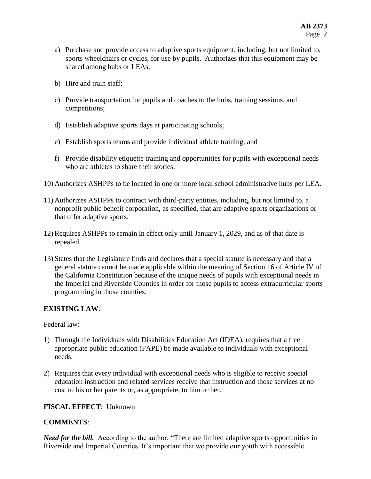- a) Purchase and provide access to adaptive sports equipment, including, but not limited to, sports wheelchairs or cycles, for use by pupils. Authorizes that this equipment may be shared among hubs or LEAs;
- b) Hire and train staff;
- c) Provide transportation for pupils and coaches to the hubs, training sessions, and competitions;
- d) Establish adaptive sports days at participating schools;
- e) Establish sports teams and provide individual athlete training; and
- f) Provide disability etiquette training and opportunities for pupils with exceptional needs who are athletes to share their stories.
- 10) Authorizes ASHPPs to be located in one or more local school administrative hubs per LEA.
- 11) Authorizes ASHPPs to contract with third-party entities, including, but not limited to, a nonprofit public benefit corporation, as specified, that are adaptive sports organizations or that offer adaptive sports.
- 12) Requires ASHPPs to remain in effect only until January 1, 2029, and as of that date is repealed.
- 13) States that the Legislature finds and declares that a special statute is necessary and that a general statute cannot be made applicable within the meaning of Section 16 of Article IV of the California Constitution because of the unique needs of pupils with exceptional needs in the Imperial and Riverside Counties in order for those pupils to access extracurricular sports programming in those counties.

# **EXISTING LAW**:

Federal law:

- 1) Through the Individuals with Disabilities Education Act (IDEA), requires that a free appropriate public education (FAPE) be made available to individuals with exceptional needs.
- 2) Requires that every individual with exceptional needs who is eligible to receive special education instruction and related services receive that instruction and those services at no cost to his or her parents or, as appropriate, to him or her.

### **FISCAL EFFECT**: Unknown

### **COMMENTS**:

*Need for the bill.* According to the author, "There are limited adaptive sports opportunities in Riverside and Imperial Counties. It's important that we provide our youth with accessible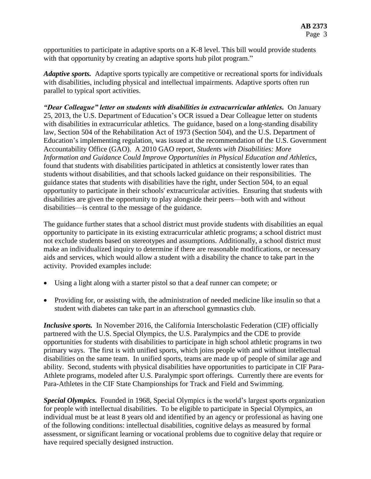opportunities to participate in adaptive sports on a K-8 level. This bill would provide students with that opportunity by creating an adaptive sports hub pilot program."

*Adaptive sports.* Adaptive sports typically are competitive or recreational sports for individuals with disabilities, including physical and intellectual impairments. Adaptive sports often run parallel to typical sport activities.

*"Dear Colleague" letter on students with disabilities in extracurricular athletics.* On January 25, 2013, the U.S. Department of Education's OCR issued a Dear Colleague letter on students with disabilities in extracurricular athletics. The guidance, based on a long-standing disability law, Section 504 of the Rehabilitation Act of 1973 (Section 504), and the U.S. Department of Education's implementing regulation, was issued at the recommendation of the U.S. Government Accountability Office (GAO). A 2010 GAO report, *Students with Disabilities: More Information and Guidance Could Improve Opportunities in Physical Education and Athletics*, found that students with disabilities participated in athletics at consistently lower rates than students without disabilities, and that schools lacked guidance on their responsibilities. The guidance states that students with disabilities have the right, under Section 504, to an equal opportunity to participate in their schools' extracurricular activities. Ensuring that students with disabilities are given the opportunity to play alongside their peers—both with and without disabilities—is central to the message of the guidance.

The guidance further states that a school district must provide students with disabilities an equal opportunity to participate in its existing extracurricular athletic programs; a school district must not exclude students based on stereotypes and assumptions. Additionally, a school district must make an individualized inquiry to determine if there are reasonable modifications, or necessary aids and services, which would allow a student with a disability the chance to take part in the activity. Provided examples include:

- Using a light along with a starter pistol so that a deaf runner can compete; or
- Providing for, or assisting with, the administration of needed medicine like insulin so that a student with diabetes can take part in an afterschool gymnastics club.

*Inclusive sports.* In November 2016, the California Interscholastic Federation (CIF) officially partnered with the U.S. Special Olympics, the U.S. Paralympics and the CDE to provide opportunities for students with disabilities to participate in high school athletic programs in two primary ways. The first is with unified sports, which joins people with and without intellectual disabilities on the same team. In unified sports, teams are made up of people of similar age and ability. Second, students with physical disabilities have opportunities to participate in CIF Para-Athlete programs, modeled after U.S. Paralympic sport offerings. Currently there are events for Para-Athletes in the CIF State Championships for Track and Field and Swimming.

*Special Olympics.* Founded in 1968, Special Olympics is the world's largest sports organization for people with intellectual disabilities. To be eligible to participate in Special Olympics, an individual must be at least 8 years old and identified by an agency or professional as having one of the following conditions: intellectual disabilities, cognitive delays as measured by formal assessment, or significant learning or vocational problems due to cognitive delay that require or have required specially designed instruction.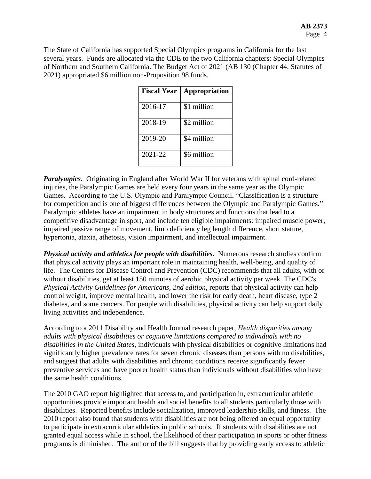The State of California has supported Special Olympics programs in California for the last several years. Funds are allocated via the CDE to the two California chapters: Special Olympics of Northern and Southern California. The Budget Act of 2021 (AB 130 (Chapter 44, Statutes of 2021) appropriated \$6 million non-Proposition 98 funds.

| <b>Fiscal Year</b> | Appropriation |
|--------------------|---------------|
| 2016-17            | \$1 million   |
| 2018-19            | \$2 million   |
| 2019-20            | \$4 million   |
| 2021-22            | \$6 million   |

*Paralympics.* Originating in England after World War II for veterans with spinal cord-related injuries, the Paralympic Games are held every four years in the same year as the Olympic Games. According to the U.S. Olympic and Paralympic Council, "Classification is a structure for competition and is one of biggest differences between the Olympic and Paralympic Games." Paralympic athletes have an impairment in body structures and functions that lead to a competitive disadvantage in sport, and include ten eligible impairments: impaired muscle power, impaired passive range of movement, limb deficiency leg length difference, short stature, hypertonia, ataxia, athetosis, vision impairment, and intellectual impairment.

*Physical activity and athletics for people with disabilities.* Numerous research studies confirm that physical activity plays an important role in maintaining health, well-being, and quality of life. The Centers for Disease Control and Prevention (CDC) recommends that all adults, with or without disabilities, get at least 150 minutes of aerobic physical activity per week. The CDC's *Physical Activity Guidelines for Americans, 2nd edition*, reports that physical activity can help control weight, improve mental health, and lower the risk for early death, heart disease, type 2 diabetes, and some cancers. For people with disabilities, physical activity can help support daily living activities and independence.

According to a 2011 Disability and Health Journal research paper, *Health disparities among adults with physical disabilities or cognitive limitations compared to individuals with no disabilities in the United States*, individuals with physical disabilities or cognitive limitations had significantly higher prevalence rates for seven chronic diseases than persons with no disabilities, and suggest that adults with disabilities and chronic conditions receive significantly fewer preventive services and have poorer health status than individuals without disabilities who have the same health conditions.

The 2010 GAO report highlighted that access to, and participation in, extracurricular athletic opportunities provide important health and social benefits to all students particularly those with disabilities. Reported benefits include socialization, improved leadership skills, and fitness. The 2010 report also found that students with disabilities are not being offered an equal opportunity to participate in extracurricular athletics in public schools. If students with disabilities are not granted equal access while in school, the likelihood of their participation in sports or other fitness programs is diminished. The author of the bill suggests that by providing early access to athletic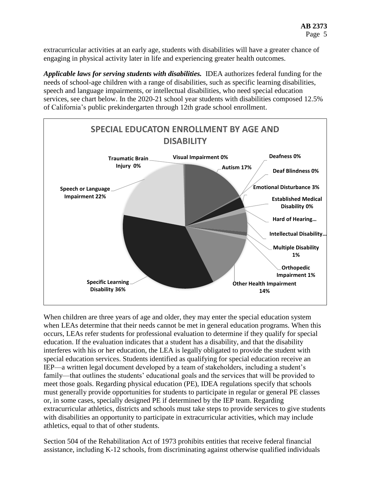extracurricular activities at an early age, students with disabilities will have a greater chance of engaging in physical activity later in life and experiencing greater health outcomes.

*Applicable laws for serving students with disabilities.* IDEA authorizes federal funding for the needs of school-age children with a range of disabilities, such as specific learning disabilities, speech and language impairments, or intellectual disabilities, who need special education services, see chart below. In the 2020-21 school year students with disabilities composed 12.5% of California's public prekindergarten through 12th grade school enrollment.



When children are three years of age and older, they may enter the special education system when LEAs determine that their needs cannot be met in general education programs. When this occurs, LEAs refer students for professional evaluation to determine if they qualify for special education. If the evaluation indicates that a student has a disability, and that the disability interferes with his or her education, the LEA is legally obligated to provide the student with special education services. Students identified as qualifying for special education receive an IEP—a written legal document developed by a team of stakeholders, including a student's family—that outlines the students' educational goals and the services that will be provided to meet those goals. Regarding physical education (PE), IDEA regulations specify that schools must generally provide opportunities for students to participate in regular or general PE classes or, in some cases, specially designed PE if determined by the IEP team. Regarding extracurricular athletics, districts and schools must take steps to provide services to give students with disabilities an opportunity to participate in extracurricular activities, which may include athletics, equal to that of other students.

Section 504 of the Rehabilitation Act of 1973 prohibits entities that receive federal financial assistance, including K-12 schools, from discriminating against otherwise qualified individuals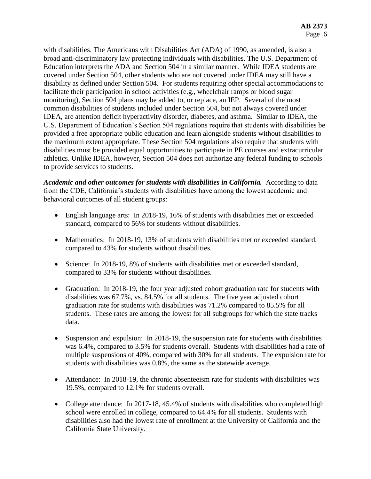with disabilities. The Americans with Disabilities Act (ADA) of 1990, as amended, is also a broad anti-discriminatory law protecting individuals with disabilities. The U.S. Department of Education interprets the ADA and Section 504 in a similar manner. While IDEA students are covered under Section 504, other students who are not covered under IDEA may still have a disability as defined under Section 504. For students requiring other special accommodations to facilitate their participation in school activities (e.g., wheelchair ramps or blood sugar monitoring), Section 504 plans may be added to, or replace, an IEP. Several of the most common disabilities of students included under Section 504, but not always covered under IDEA, are attention deficit hyperactivity disorder, diabetes, and asthma. Similar to IDEA, the U.S. Department of Education's Section 504 regulations require that students with disabilities be provided a free appropriate public education and learn alongside students without disabilities to the maximum extent appropriate. These Section 504 regulations also require that students with disabilities must be provided equal opportunities to participate in PE courses and extracurricular athletics. Unlike IDEA, however, Section 504 does not authorize any federal funding to schools to provide services to students.

Academic and other outcomes for students with disabilities in California. According to data from the CDE, California's students with disabilities have among the lowest academic and behavioral outcomes of all student groups:

- English language arts: In 2018-19, 16% of students with disabilities met or exceeded standard, compared to 56% for students without disabilities.
- Mathematics: In 2018-19, 13% of students with disabilities met or exceeded standard, compared to 43% for students without disabilities.
- Science: In 2018-19, 8% of students with disabilities met or exceeded standard, compared to 33% for students without disabilities.
- Graduation: In 2018-19, the four year adjusted cohort graduation rate for students with disabilities was 67.7%, vs. 84.5% for all students. The five year adjusted cohort graduation rate for students with disabilities was 71.2% compared to 85.5% for all students. These rates are among the lowest for all subgroups for which the state tracks data.
- Suspension and expulsion: In 2018-19, the suspension rate for students with disabilities was 6.4%, compared to 3.5% for students overall. Students with disabilities had a rate of multiple suspensions of 40%, compared with 30% for all students. The expulsion rate for students with disabilities was 0.8%, the same as the statewide average.
- Attendance: In 2018-19, the chronic absenteeism rate for students with disabilities was 19.5%, compared to 12.1% for students overall.
- College attendance: In 2017-18, 45.4% of students with disabilities who completed high school were enrolled in college, compared to 64.4% for all students. Students with disabilities also had the lowest rate of enrollment at the University of California and the California State University.